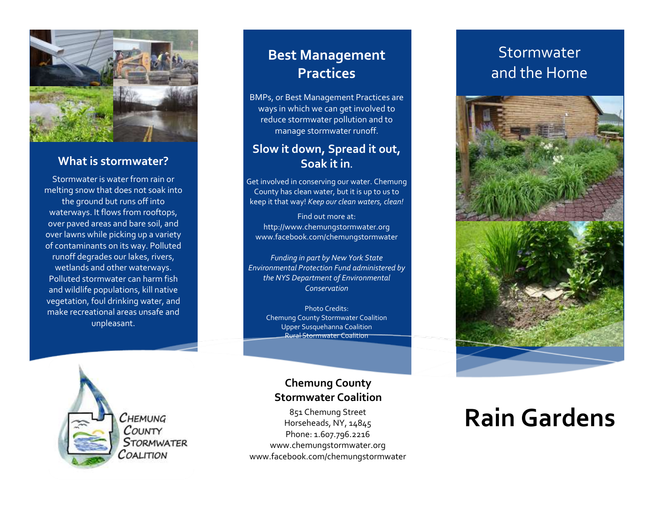

#### **What is stormwater?**

Stormwater is water from rain or melting snow that does not soak into the ground but runs off into waterways. It flows from rooftops, over paved areas and bare soil, and over lawns while picking up a variety of contaminants on its way. Polluted runoff degrades our lakes, rivers, wetlands and other waterways. Polluted stormwater can harm fish and wildlife populations, kill native vegetation, foul drinking water, and make recreational areas unsafe and unpleasant.

#### **Best Management Practices**

BMPs, or Best Management Practices are ways in which we can get involved to reduce stormwater pollution and to manage stormwater runoff.

#### **Slow it down, Spread it out, Soak it in.**

Get involved in conserving our water. Chemung County has clean water, but it is up to us to keep it that way! *Keep our clean waters, clean!*

Find out more at: http://www.chemungstormwater.org www.facebook.com/chemungstormwater

*Funding in part by New York State Environmental Protection Fund administered by the NYS Department of Environmental Conservation*

Photo Credits: Chemung County Stormwater Coalition Upper Susquehanna Coalition Rural Stormwater Coalition



**Chemung County Stormwater Coalition**

851 Chemung Street Horseheads, NY, 14845 Phone: 1.607.796.2216 www.chemungstormwater.org www.facebook.com/chemungstormwater

### Stormwater and the Home



## **Rain Gardens**